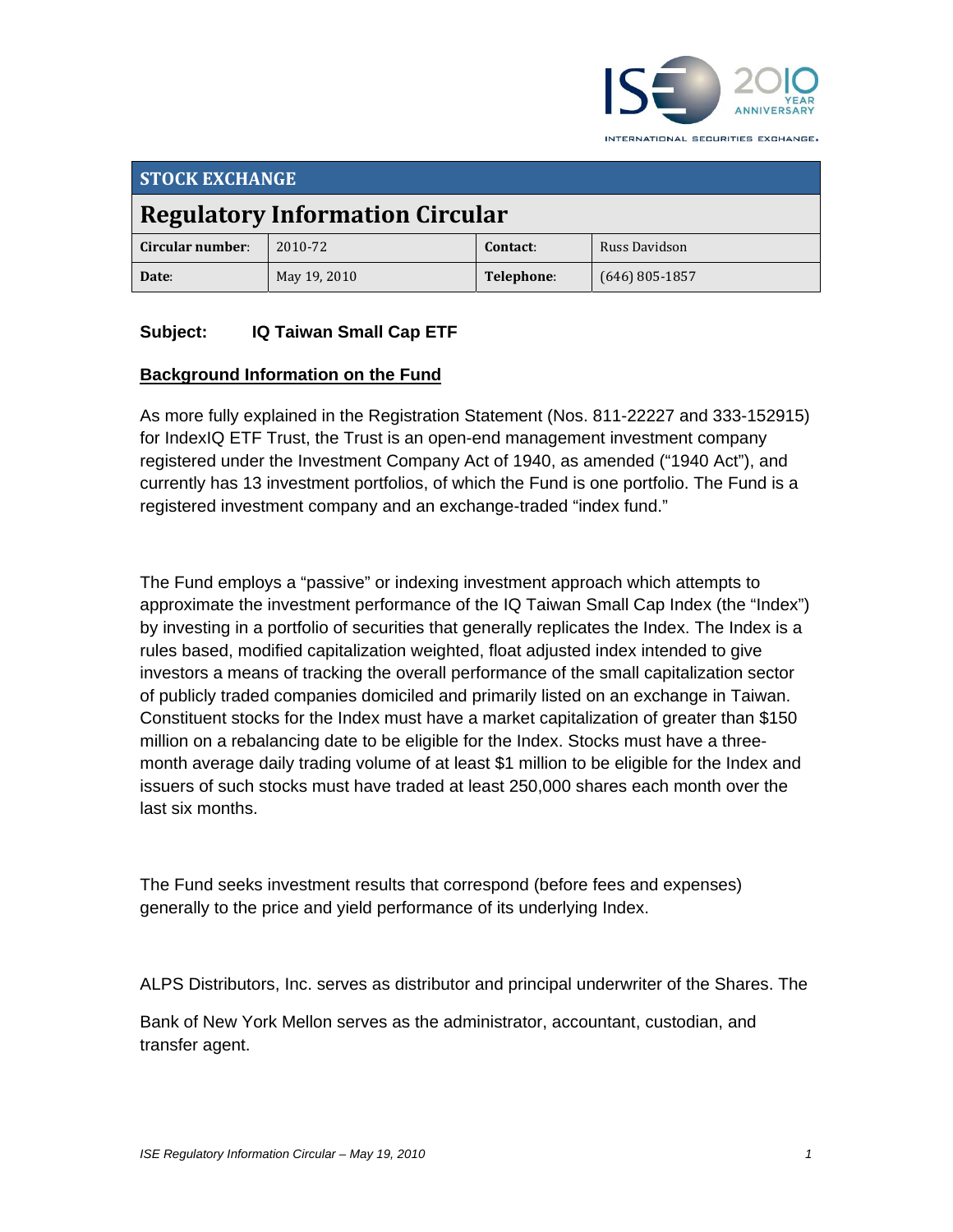

**STOCK EXCHANGE Regulatory Information Circular Circular number**: 2010‐72 **Contact**: Russ Davidson **Date**: May 19, 2010 **Telephone**: (646) 805‐1857

### **Subject: IQ Taiwan Small Cap ETF**

#### **Background Information on the Fund**

As more fully explained in the Registration Statement (Nos. 811-22227 and 333-152915) for IndexIQ ETF Trust, the Trust is an open-end management investment company registered under the Investment Company Act of 1940, as amended ("1940 Act"), and currently has 13 investment portfolios, of which the Fund is one portfolio. The Fund is a registered investment company and an exchange-traded "index fund."

The Fund employs a "passive" or indexing investment approach which attempts to approximate the investment performance of the IQ Taiwan Small Cap Index (the "Index") by investing in a portfolio of securities that generally replicates the Index. The Index is a rules based, modified capitalization weighted, float adjusted index intended to give investors a means of tracking the overall performance of the small capitalization sector of publicly traded companies domiciled and primarily listed on an exchange in Taiwan. Constituent stocks for the Index must have a market capitalization of greater than \$150 million on a rebalancing date to be eligible for the Index. Stocks must have a threemonth average daily trading volume of at least \$1 million to be eligible for the Index and issuers of such stocks must have traded at least 250,000 shares each month over the last six months.

The Fund seeks investment results that correspond (before fees and expenses) generally to the price and yield performance of its underlying Index.

ALPS Distributors, Inc. serves as distributor and principal underwriter of the Shares. The

Bank of New York Mellon serves as the administrator, accountant, custodian, and transfer agent.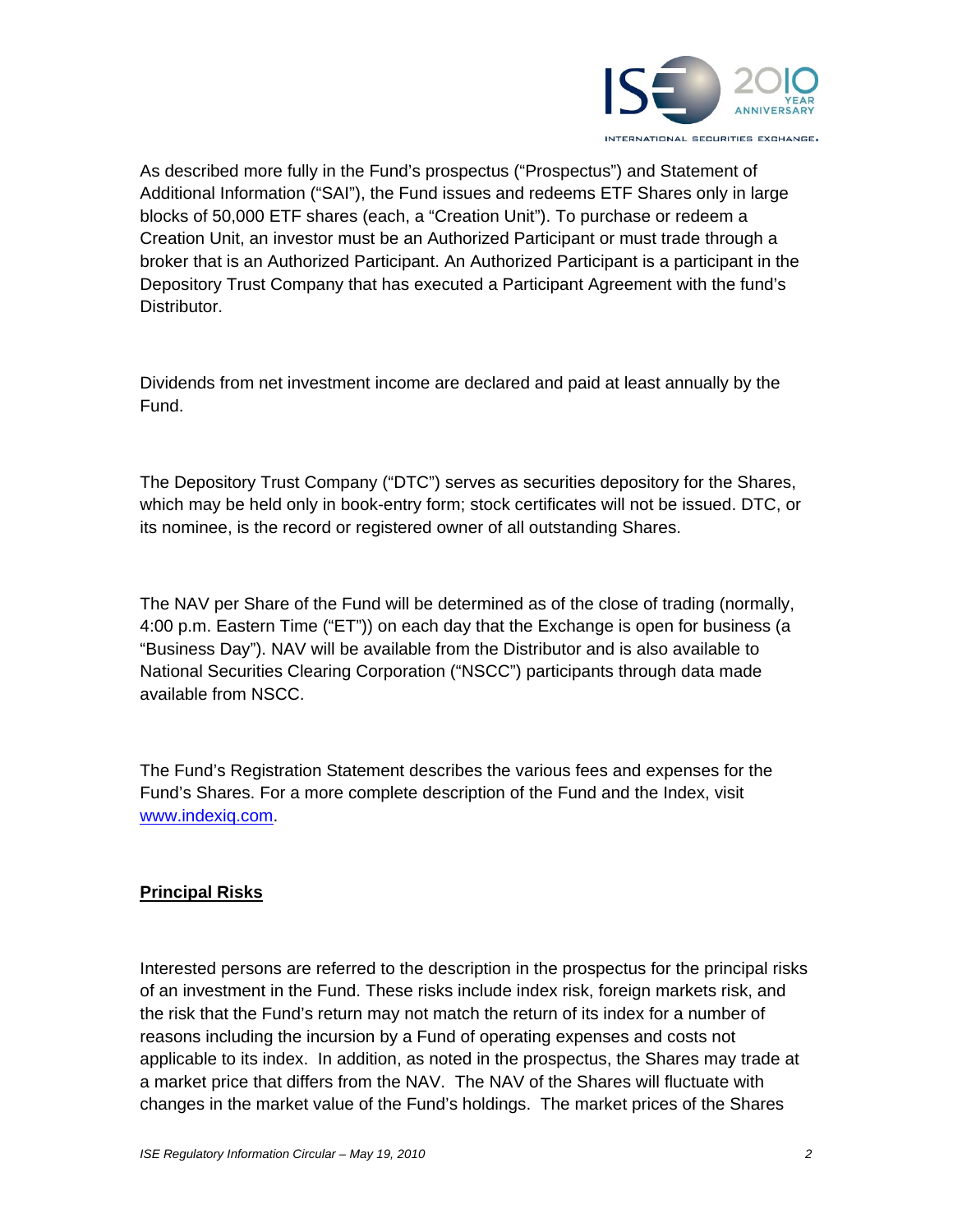

As described more fully in the Fund's prospectus ("Prospectus") and Statement of Additional Information ("SAI"), the Fund issues and redeems ETF Shares only in large blocks of 50,000 ETF shares (each, a "Creation Unit"). To purchase or redeem a Creation Unit, an investor must be an Authorized Participant or must trade through a broker that is an Authorized Participant. An Authorized Participant is a participant in the Depository Trust Company that has executed a Participant Agreement with the fund's Distributor.

Dividends from net investment income are declared and paid at least annually by the Fund.

The Depository Trust Company ("DTC") serves as securities depository for the Shares, which may be held only in book-entry form; stock certificates will not be issued. DTC, or its nominee, is the record or registered owner of all outstanding Shares.

The NAV per Share of the Fund will be determined as of the close of trading (normally, 4:00 p.m. Eastern Time ("ET")) on each day that the Exchange is open for business (a "Business Day"). NAV will be available from the Distributor and is also available to National Securities Clearing Corporation ("NSCC") participants through data made available from NSCC.

The Fund's Registration Statement describes the various fees and expenses for the Fund's Shares. For a more complete description of the Fund and the Index, visit www.indexiq.com.

## **Principal Risks**

Interested persons are referred to the description in the prospectus for the principal risks of an investment in the Fund. These risks include index risk, foreign markets risk, and the risk that the Fund's return may not match the return of its index for a number of reasons including the incursion by a Fund of operating expenses and costs not applicable to its index. In addition, as noted in the prospectus, the Shares may trade at a market price that differs from the NAV. The NAV of the Shares will fluctuate with changes in the market value of the Fund's holdings. The market prices of the Shares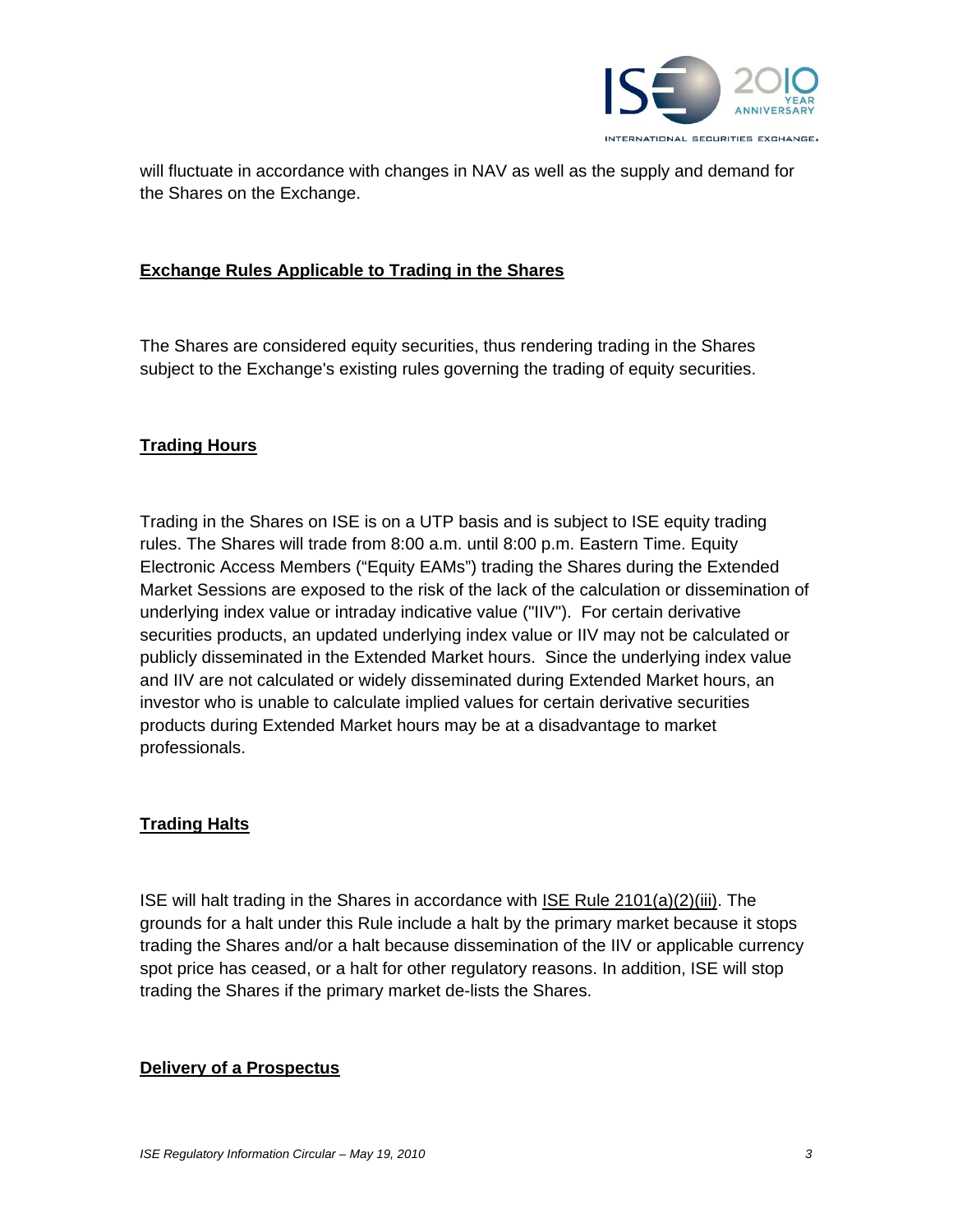

will fluctuate in accordance with changes in NAV as well as the supply and demand for the Shares on the Exchange.

#### **Exchange Rules Applicable to Trading in the Shares**

The Shares are considered equity securities, thus rendering trading in the Shares subject to the Exchange's existing rules governing the trading of equity securities.

#### **Trading Hours**

Trading in the Shares on ISE is on a UTP basis and is subject to ISE equity trading rules. The Shares will trade from 8:00 a.m. until 8:00 p.m. Eastern Time. Equity Electronic Access Members ("Equity EAMs") trading the Shares during the Extended Market Sessions are exposed to the risk of the lack of the calculation or dissemination of underlying index value or intraday indicative value ("IIV"). For certain derivative securities products, an updated underlying index value or IIV may not be calculated or publicly disseminated in the Extended Market hours. Since the underlying index value and IIV are not calculated or widely disseminated during Extended Market hours, an investor who is unable to calculate implied values for certain derivative securities products during Extended Market hours may be at a disadvantage to market professionals.

### **Trading Halts**

ISE will halt trading in the Shares in accordance with ISE Rule 2101(a)(2)(iii). The grounds for a halt under this Rule include a halt by the primary market because it stops trading the Shares and/or a halt because dissemination of the IIV or applicable currency spot price has ceased, or a halt for other regulatory reasons. In addition, ISE will stop trading the Shares if the primary market de-lists the Shares.

#### **Delivery of a Prospectus**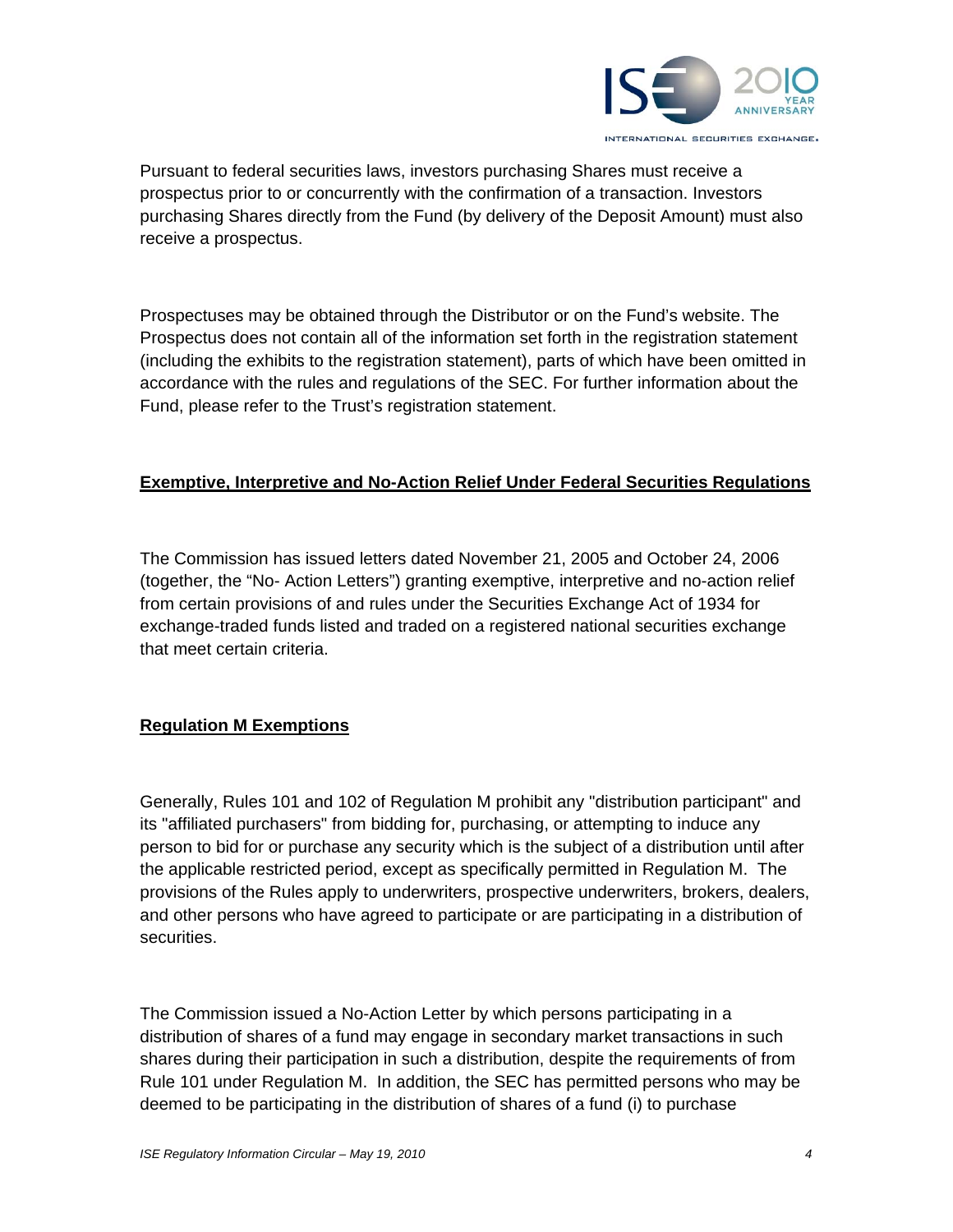

Pursuant to federal securities laws, investors purchasing Shares must receive a prospectus prior to or concurrently with the confirmation of a transaction. Investors purchasing Shares directly from the Fund (by delivery of the Deposit Amount) must also receive a prospectus.

Prospectuses may be obtained through the Distributor or on the Fund's website. The Prospectus does not contain all of the information set forth in the registration statement (including the exhibits to the registration statement), parts of which have been omitted in accordance with the rules and regulations of the SEC. For further information about the Fund, please refer to the Trust's registration statement.

### **Exemptive, Interpretive and No-Action Relief Under Federal Securities Regulations**

The Commission has issued letters dated November 21, 2005 and October 24, 2006 (together, the "No- Action Letters") granting exemptive, interpretive and no-action relief from certain provisions of and rules under the Securities Exchange Act of 1934 for exchange-traded funds listed and traded on a registered national securities exchange that meet certain criteria.

## **Regulation M Exemptions**

Generally, Rules 101 and 102 of Regulation M prohibit any "distribution participant" and its "affiliated purchasers" from bidding for, purchasing, or attempting to induce any person to bid for or purchase any security which is the subject of a distribution until after the applicable restricted period, except as specifically permitted in Regulation M. The provisions of the Rules apply to underwriters, prospective underwriters, brokers, dealers, and other persons who have agreed to participate or are participating in a distribution of securities.

The Commission issued a No-Action Letter by which persons participating in a distribution of shares of a fund may engage in secondary market transactions in such shares during their participation in such a distribution, despite the requirements of from Rule 101 under Regulation M. In addition, the SEC has permitted persons who may be deemed to be participating in the distribution of shares of a fund (i) to purchase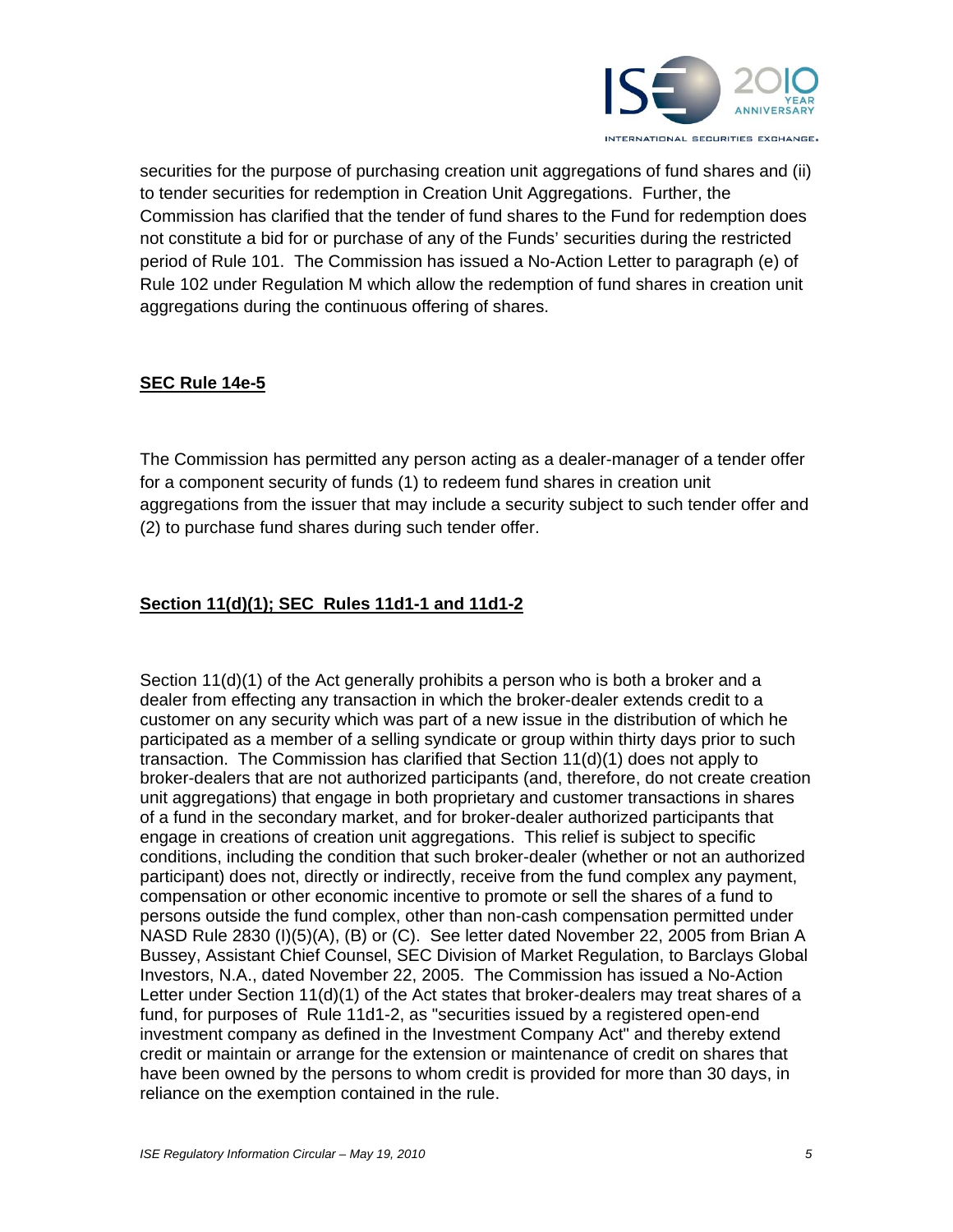

securities for the purpose of purchasing creation unit aggregations of fund shares and (ii) to tender securities for redemption in Creation Unit Aggregations. Further, the Commission has clarified that the tender of fund shares to the Fund for redemption does not constitute a bid for or purchase of any of the Funds' securities during the restricted period of Rule 101. The Commission has issued a No-Action Letter to paragraph (e) of Rule 102 under Regulation M which allow the redemption of fund shares in creation unit aggregations during the continuous offering of shares.

### **SEC Rule 14e-5**

The Commission has permitted any person acting as a dealer-manager of a tender offer for a component security of funds (1) to redeem fund shares in creation unit aggregations from the issuer that may include a security subject to such tender offer and (2) to purchase fund shares during such tender offer.

### **Section 11(d)(1); SEC Rules 11d1-1 and 11d1-2**

Section 11(d)(1) of the Act generally prohibits a person who is both a broker and a dealer from effecting any transaction in which the broker-dealer extends credit to a customer on any security which was part of a new issue in the distribution of which he participated as a member of a selling syndicate or group within thirty days prior to such transaction. The Commission has clarified that Section 11(d)(1) does not apply to broker-dealers that are not authorized participants (and, therefore, do not create creation unit aggregations) that engage in both proprietary and customer transactions in shares of a fund in the secondary market, and for broker-dealer authorized participants that engage in creations of creation unit aggregations. This relief is subject to specific conditions, including the condition that such broker-dealer (whether or not an authorized participant) does not, directly or indirectly, receive from the fund complex any payment, compensation or other economic incentive to promote or sell the shares of a fund to persons outside the fund complex, other than non-cash compensation permitted under NASD Rule 2830 (I)(5)(A), (B) or (C). See letter dated November 22, 2005 from Brian A Bussey, Assistant Chief Counsel, SEC Division of Market Regulation, to Barclays Global Investors, N.A., dated November 22, 2005. The Commission has issued a No-Action Letter under Section 11(d)(1) of the Act states that broker-dealers may treat shares of a fund, for purposes of Rule 11d1-2, as "securities issued by a registered open-end investment company as defined in the Investment Company Act" and thereby extend credit or maintain or arrange for the extension or maintenance of credit on shares that have been owned by the persons to whom credit is provided for more than 30 days, in reliance on the exemption contained in the rule.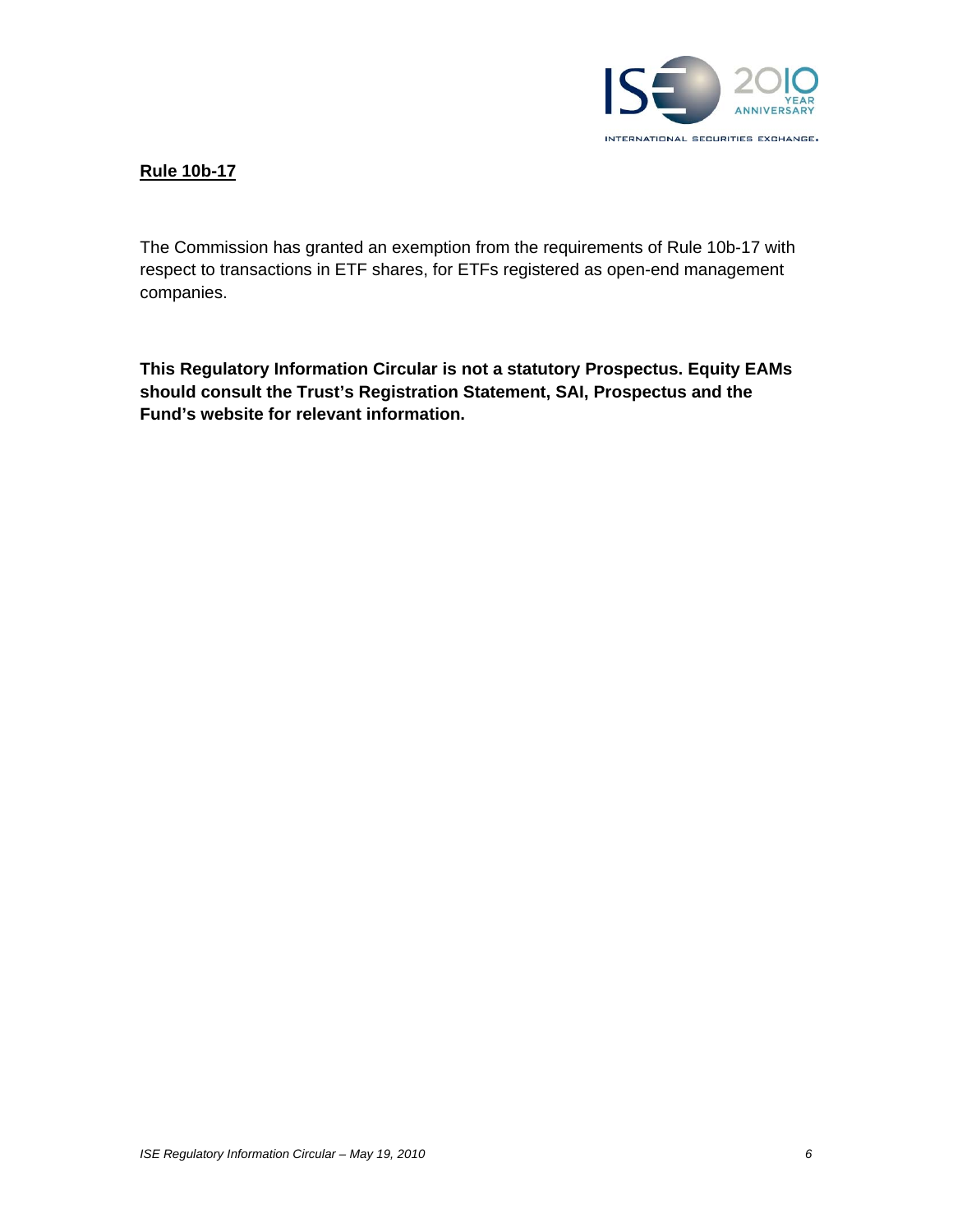

#### **Rule 10b-17**

The Commission has granted an exemption from the requirements of Rule 10b-17 with respect to transactions in ETF shares, for ETFs registered as open-end management companies.

**This Regulatory Information Circular is not a statutory Prospectus. Equity EAMs should consult the Trust's Registration Statement, SAI, Prospectus and the Fund's website for relevant information.**